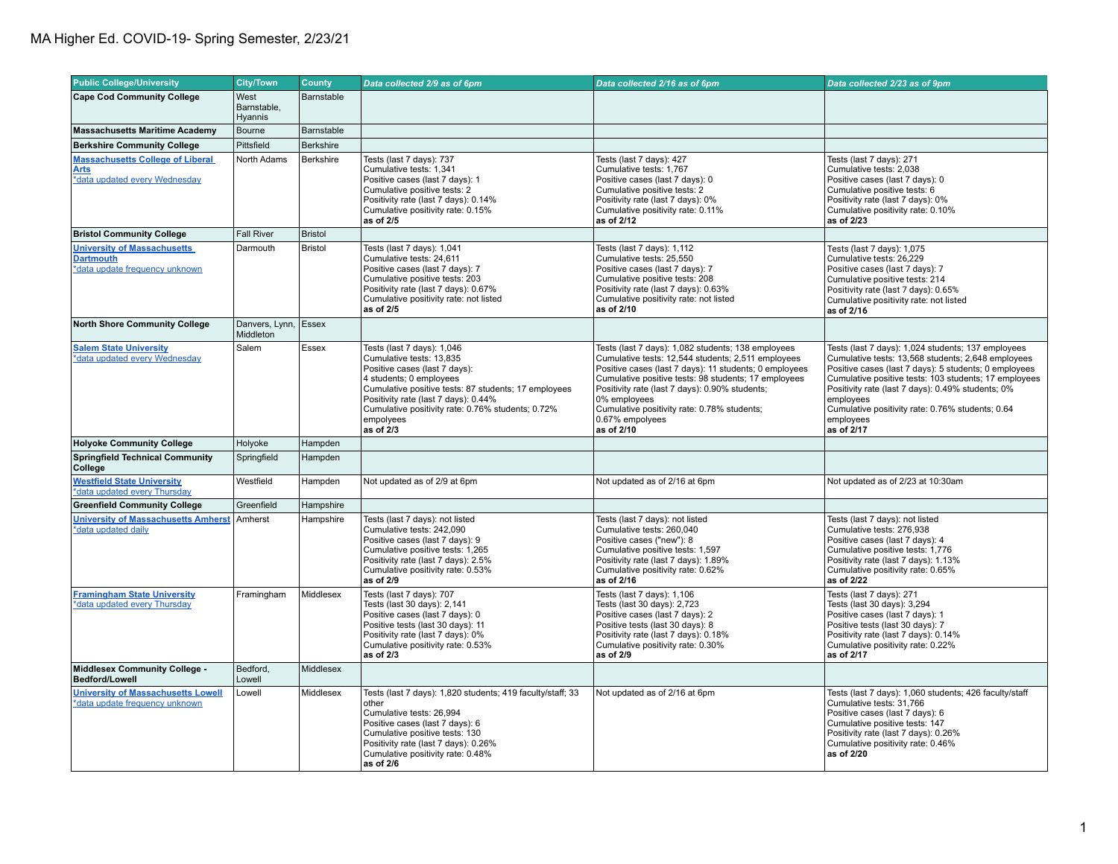| <b>Public College/University</b>                                                         | <b>City/Town</b>                  | County           | Data collected 2/9 as of 6pm                                                                                                                                                                                                                                                                      | Data collected 2/16 as of 6pm                                                                                                                                                                                                                                                                                                                                                | Data collected 2/23 as of 9pm                                                                                                                                                                                                                                                                                                                                               |
|------------------------------------------------------------------------------------------|-----------------------------------|------------------|---------------------------------------------------------------------------------------------------------------------------------------------------------------------------------------------------------------------------------------------------------------------------------------------------|------------------------------------------------------------------------------------------------------------------------------------------------------------------------------------------------------------------------------------------------------------------------------------------------------------------------------------------------------------------------------|-----------------------------------------------------------------------------------------------------------------------------------------------------------------------------------------------------------------------------------------------------------------------------------------------------------------------------------------------------------------------------|
| <b>Cape Cod Community College</b>                                                        | West                              | Barnstable       |                                                                                                                                                                                                                                                                                                   |                                                                                                                                                                                                                                                                                                                                                                              |                                                                                                                                                                                                                                                                                                                                                                             |
|                                                                                          | Barnstable,<br>Hyannis            |                  |                                                                                                                                                                                                                                                                                                   |                                                                                                                                                                                                                                                                                                                                                                              |                                                                                                                                                                                                                                                                                                                                                                             |
| <b>Massachusetts Maritime Academy</b>                                                    | Bourne                            | Barnstable       |                                                                                                                                                                                                                                                                                                   |                                                                                                                                                                                                                                                                                                                                                                              |                                                                                                                                                                                                                                                                                                                                                                             |
| <b>Berkshire Community College</b>                                                       | Pittsfield                        | <b>Berkshire</b> |                                                                                                                                                                                                                                                                                                   |                                                                                                                                                                                                                                                                                                                                                                              |                                                                                                                                                                                                                                                                                                                                                                             |
| <b>Massachusetts College of Liberal</b><br><b>Arts</b><br>*data updated every Wednesday  | North Adams                       | Berkshire        | Tests (last 7 days): 737<br>Cumulative tests: 1,341<br>Positive cases (last 7 days): 1<br>Cumulative positive tests: 2<br>Positivity rate (last 7 days): 0.14%<br>Cumulative positivity rate: 0.15%<br>as of 2/5                                                                                  | Tests (last 7 days): 427<br>Cumulative tests: 1,767<br>Positive cases (last 7 days): 0<br>Cumulative positive tests: 2<br>Positivity rate (last 7 days): 0%<br>Cumulative positivity rate: 0.11%<br>as of 2/12                                                                                                                                                               | Tests (last 7 days): 271<br>Cumulative tests: 2,038<br>Positive cases (last 7 days): 0<br>Cumulative positive tests: 6<br>Positivity rate (last 7 days): 0%<br>Cumulative positivity rate: 0.10%<br>as of 2/23                                                                                                                                                              |
| <b>Bristol Community College</b>                                                         | <b>Fall River</b>                 | Bristol          |                                                                                                                                                                                                                                                                                                   |                                                                                                                                                                                                                                                                                                                                                                              |                                                                                                                                                                                                                                                                                                                                                                             |
| <b>University of Massachusetts</b><br><b>Dartmouth</b><br>*data update frequency unknown | Darmouth                          | <b>Bristol</b>   | Tests (last 7 days): 1,041<br>Cumulative tests: 24.611<br>Positive cases (last 7 days): 7<br>Cumulative positive tests: 203<br>Positivity rate (last 7 days): 0.67%<br>Cumulative positivity rate: not listed<br>as of 2/5                                                                        | Tests (last 7 days): 1,112<br>Cumulative tests: 25.550<br>Positive cases (last 7 days): 7<br>Cumulative positive tests: 208<br>Positivity rate (last 7 days): 0.63%<br>Cumulative positivity rate: not listed<br>as of 2/10                                                                                                                                                  | Tests (last 7 days): 1,075<br>Cumulative tests: 26.229<br>Positive cases (last 7 days): 7<br>Cumulative positive tests: 214<br>Positivity rate (last 7 days): 0.65%<br>Cumulative positivity rate: not listed<br>as of 2/16                                                                                                                                                 |
| <b>North Shore Community College</b>                                                     | Danvers, Lynn, Essex<br>Middleton |                  |                                                                                                                                                                                                                                                                                                   |                                                                                                                                                                                                                                                                                                                                                                              |                                                                                                                                                                                                                                                                                                                                                                             |
| <b>Salem State University</b><br>*data updated every Wednesday                           | Salem                             | Essex            | Tests (last 7 days): 1,046<br>Cumulative tests: 13,835<br>Positive cases (last 7 days):<br>4 students; 0 employees<br>Cumulative positive tests: 87 students; 17 employees<br>Positivity rate (last 7 days): 0.44%<br>Cumulative positivity rate: 0.76% students; 0.72%<br>empolyees<br>as of 2/3 | Tests (last 7 days): 1,082 students; 138 employees<br>Cumulative tests: 12,544 students; 2,511 employees<br>Positive cases (last 7 days): 11 students; 0 employees<br>Cumulative positive tests: 98 students; 17 employees<br>Positivity rate (last 7 days): 0.90% students;<br>0% employees<br>Cumulative positivity rate: 0.78% students;<br>0.67% empolyees<br>as of 2/10 | Tests (last 7 days): 1,024 students; 137 employees<br>Cumulative tests: 13,568 students; 2,648 employees<br>Positive cases (last 7 days): 5 students; 0 employees<br>Cumulative positive tests: 103 students; 17 employees<br>Positivity rate (last 7 days): 0.49% students; 0%<br>employees<br>Cumulative positivity rate: 0.76% students; 0.64<br>employees<br>as of 2/17 |
| <b>Holyoke Community College</b>                                                         | Holyoke                           | Hampden          |                                                                                                                                                                                                                                                                                                   |                                                                                                                                                                                                                                                                                                                                                                              |                                                                                                                                                                                                                                                                                                                                                                             |
| <b>Springfield Technical Community</b><br>College                                        | Springfield                       | Hampden          |                                                                                                                                                                                                                                                                                                   |                                                                                                                                                                                                                                                                                                                                                                              |                                                                                                                                                                                                                                                                                                                                                                             |
| <b>Westfield State University</b><br>*data updated every Thursday                        | Westfield                         | Hampden          | Not updated as of 2/9 at 6pm                                                                                                                                                                                                                                                                      | Not updated as of 2/16 at 6pm                                                                                                                                                                                                                                                                                                                                                | Not updated as of 2/23 at 10:30am                                                                                                                                                                                                                                                                                                                                           |
| <b>Greenfield Community College</b>                                                      | Greenfield                        | Hampshire        |                                                                                                                                                                                                                                                                                                   |                                                                                                                                                                                                                                                                                                                                                                              |                                                                                                                                                                                                                                                                                                                                                                             |
| <b>University of Massachusetts Amherst</b><br>*data updated daily                        | Amherst                           | Hampshire        | Tests (last 7 days): not listed<br>Cumulative tests: 242,090<br>Positive cases (last 7 days): 9<br>Cumulative positive tests: 1,265<br>Positivity rate (last 7 days): 2.5%<br>Cumulative positivity rate: 0.53%<br>as of 2/9                                                                      | Tests (last 7 days): not listed<br>Cumulative tests: 260,040<br>Positive cases ("new"): 8<br>Cumulative positive tests: 1,597<br>Positivity rate (last 7 days): 1.89%<br>Cumulative positivity rate: 0.62%<br>as of 2/16                                                                                                                                                     | Tests (last 7 days): not listed<br>Cumulative tests: 276,938<br>Positive cases (last 7 days): 4<br>Cumulative positive tests: 1,776<br>Positivity rate (last 7 days): 1.13%<br>Cumulative positivity rate: 0.65%<br>as of 2/22                                                                                                                                              |
| <b>Framingham State University</b><br>*data updated every Thursday                       | Framingham                        | Middlesex        | Tests (last 7 days): 707<br>Tests (last 30 days): 2,141<br>Positive cases (last 7 days): 0<br>Positive tests (last 30 days): 11<br>Positivity rate (last 7 days): 0%<br>Cumulative positivity rate: 0.53%<br>as of 2/3                                                                            | Tests (last 7 days): 1,106<br>Tests (last 30 days): 2,723<br>Positive cases (last 7 days): 2<br>Positive tests (last 30 days): 8<br>Positivity rate (last 7 days): 0.18%<br>Cumulative positivity rate: 0.30%<br>as of 2/9                                                                                                                                                   | Tests (last 7 days): 271<br>Tests (last 30 days): 3,294<br>Positive cases (last 7 days): 1<br>Positive tests (last 30 days): 7<br>Positivity rate (last 7 days): 0.14%<br>Cumulative positivity rate: 0.22%<br>as of 2/17                                                                                                                                                   |
| Middlesex Community College -<br><b>Bedford/Lowell</b>                                   | Bedford,<br>Lowell                | <b>Middlesex</b> |                                                                                                                                                                                                                                                                                                   |                                                                                                                                                                                                                                                                                                                                                                              |                                                                                                                                                                                                                                                                                                                                                                             |
| <b>University of Massachusetts Lowell</b><br>*data update frequency unknown              | Lowell                            | Middlesex        | Tests (last 7 days): 1,820 students; 419 faculty/staff; 33<br>other<br>Cumulative tests: 26.994<br>Positive cases (last 7 days): 6<br>Cumulative positive tests: 130<br>Positivity rate (last 7 days): 0.26%<br>Cumulative positivity rate: 0.48%<br>as of 2/6                                    | Not updated as of 2/16 at 6pm                                                                                                                                                                                                                                                                                                                                                | Tests (last 7 days): 1,060 students; 426 faculty/staff<br>Cumulative tests: 31,766<br>Positive cases (last 7 days): 6<br>Cumulative positive tests: 147<br>Positivity rate (last 7 days): 0.26%<br>Cumulative positivity rate: 0.46%<br>as of 2/20                                                                                                                          |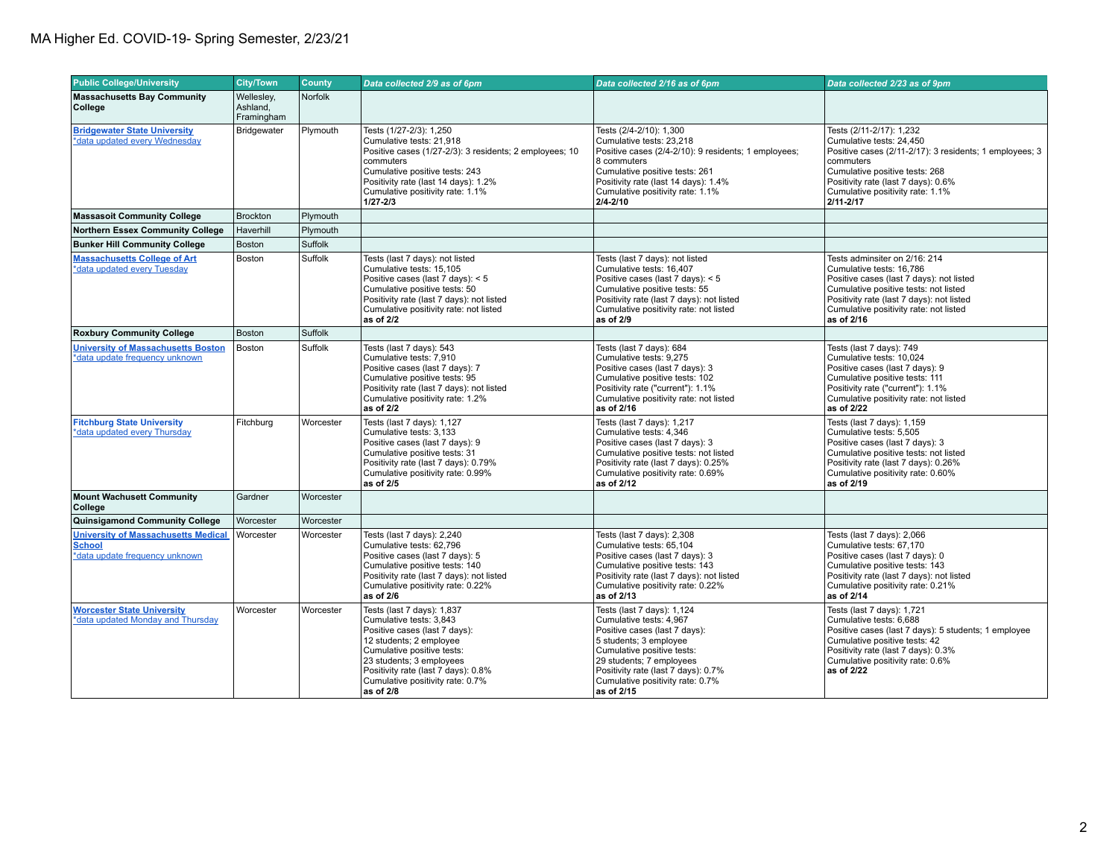| <b>Public College/University</b>                                                              | <b>City/Town</b>                     | <b>County</b> | Data collected 2/9 as of 6pm                                                                                                                                                                                                                                        | Data collected 2/16 as of 6pm                                                                                                                                                                                                                                       | Data collected 2/23 as of 9pm                                                                                                                                                                                                                          |
|-----------------------------------------------------------------------------------------------|--------------------------------------|---------------|---------------------------------------------------------------------------------------------------------------------------------------------------------------------------------------------------------------------------------------------------------------------|---------------------------------------------------------------------------------------------------------------------------------------------------------------------------------------------------------------------------------------------------------------------|--------------------------------------------------------------------------------------------------------------------------------------------------------------------------------------------------------------------------------------------------------|
| <b>Massachusetts Bay Community</b><br>College                                                 | Wellesley,<br>Ashland,<br>Framingham | Norfolk       |                                                                                                                                                                                                                                                                     |                                                                                                                                                                                                                                                                     |                                                                                                                                                                                                                                                        |
| <b>Bridgewater State University</b><br>*data updated every Wednesday                          | Bridgewater                          | Plymouth      | Tests (1/27-2/3): 1,250<br>Cumulative tests: 21.918<br>Positive cases (1/27-2/3): 3 residents; 2 employees; 10<br>commuters<br>Cumulative positive tests: 243<br>Positivity rate (last 14 days): 1.2%<br>Cumulative positivity rate: 1.1%<br>$1/27 - 2/3$           | Tests (2/4-2/10): 1,300<br>Cumulative tests: 23.218<br>Positive cases (2/4-2/10): 9 residents; 1 employees;<br>8 commuters<br>Cumulative positive tests: 261<br>Positivity rate (last 14 days): 1.4%<br>Cumulative positivity rate: 1.1%<br>$2/4 - 2/10$            | Tests (2/11-2/17): 1,232<br>Cumulative tests: 24.450<br>Positive cases (2/11-2/17): 3 residents; 1 employees; 3<br>commuters<br>Cumulative positive tests: 268<br>Positivity rate (last 7 days): 0.6%<br>Cumulative positivity rate: 1.1%<br>2/11-2/17 |
| <b>Massasoit Community College</b>                                                            | Brockton                             | Plymouth      |                                                                                                                                                                                                                                                                     |                                                                                                                                                                                                                                                                     |                                                                                                                                                                                                                                                        |
| <b>Northern Essex Community College</b>                                                       | Haverhill                            | Plymouth      |                                                                                                                                                                                                                                                                     |                                                                                                                                                                                                                                                                     |                                                                                                                                                                                                                                                        |
| <b>Bunker Hill Community College</b>                                                          | Boston                               | Suffolk       |                                                                                                                                                                                                                                                                     |                                                                                                                                                                                                                                                                     |                                                                                                                                                                                                                                                        |
| <b>Massachusetts College of Art</b><br>*data updated every Tuesday                            | Boston                               | Suffolk       | Tests (last 7 days): not listed<br>Cumulative tests: 15,105<br>Positive cases (last 7 days): < 5<br>Cumulative positive tests: 50<br>Positivity rate (last 7 days): not listed<br>Cumulative positivity rate: not listed<br>as of 2/2                               | Tests (last 7 days): not listed<br>Cumulative tests: 16,407<br>Positive cases (last 7 days): < 5<br>Cumulative positive tests: 55<br>Positivity rate (last 7 days): not listed<br>Cumulative positivity rate: not listed<br>as of 2/9                               | Tests adminsiter on 2/16: 214<br>Cumulative tests: 16,786<br>Positive cases (last 7 days): not listed<br>Cumulative positive tests: not listed<br>Positivity rate (last 7 days): not listed<br>Cumulative positivity rate: not listed<br>as of 2/16    |
| <b>Roxbury Community College</b>                                                              | Boston                               | Suffolk       |                                                                                                                                                                                                                                                                     |                                                                                                                                                                                                                                                                     |                                                                                                                                                                                                                                                        |
| <b>University of Massachusetts Boston</b><br>*data update frequency unknown                   | Boston                               | Suffolk       | Tests (last 7 days): 543<br>Cumulative tests: 7,910<br>Positive cases (last 7 days): 7<br>Cumulative positive tests: 95<br>Positivity rate (last 7 days): not listed<br>Cumulative positivity rate: 1.2%<br>as of $2/2$                                             | Tests (last 7 days): 684<br>Cumulative tests: 9,275<br>Positive cases (last 7 days): 3<br>Cumulative positive tests: 102<br>Positivity rate ("current"): 1.1%<br>Cumulative positivity rate: not listed<br>as of 2/16                                               | Tests (last 7 days): 749<br>Cumulative tests: 10,024<br>Positive cases (last 7 days): 9<br>Cumulative positive tests: 111<br>Positivity rate ("current"): 1.1%<br>Cumulative positivity rate: not listed<br>as of 2/22                                 |
| <b>Fitchburg State University</b><br>*data updated every Thursday                             | Fitchburg                            | Worcester     | Tests (last 7 days): 1,127<br>Cumulative tests: 3,133<br>Positive cases (last 7 days): 9<br>Cumulative positive tests: 31<br>Positivity rate (last 7 days): 0.79%<br>Cumulative positivity rate: 0.99%<br>as of 2/5                                                 | Tests (last 7 days): 1,217<br>Cumulative tests: 4,346<br>Positive cases (last 7 days): 3<br>Cumulative positive tests: not listed<br>Positivity rate (last 7 days): 0.25%<br>Cumulative positivity rate: 0.69%<br>as of 2/12                                        | Tests (last 7 days): 1,159<br>Cumulative tests: 5,505<br>Positive cases (last 7 days): 3<br>Cumulative positive tests: not listed<br>Positivity rate (last 7 days): 0.26%<br>Cumulative positivity rate: 0.60%<br>as of 2/19                           |
| <b>Mount Wachusett Community</b><br>College                                                   | Gardner                              | Worcester     |                                                                                                                                                                                                                                                                     |                                                                                                                                                                                                                                                                     |                                                                                                                                                                                                                                                        |
| <b>Quinsigamond Community College</b>                                                         | Worcester                            | Worcester     |                                                                                                                                                                                                                                                                     |                                                                                                                                                                                                                                                                     |                                                                                                                                                                                                                                                        |
| <b>University of Massachusetts Medical</b><br><b>School</b><br>*data update frequency unknown | Worcester                            | Worcester     | Tests (last 7 days): 2,240<br>Cumulative tests: 62,796<br>Positive cases (last 7 days): 5<br>Cumulative positive tests: 140<br>Positivity rate (last 7 days): not listed<br>Cumulative positivity rate: 0.22%<br>as of 2/6                                          | Tests (last 7 days): 2,308<br>Cumulative tests: 65,104<br>Positive cases (last 7 days): 3<br>Cumulative positive tests: 143<br>Positivity rate (last 7 days): not listed<br>Cumulative positivity rate: 0.22%<br>as of 2/13                                         | Tests (last 7 days): 2,066<br>Cumulative tests: 67,170<br>Positive cases (last 7 days): 0<br>Cumulative positive tests: 143<br>Positivity rate (last 7 days): not listed<br>Cumulative positivity rate: 0.21%<br>as of 2/14                            |
| <b>Worcester State University</b><br>*data updated Monday and Thursday                        | Worcester                            | Worcester     | Tests (last 7 days): 1,837<br>Cumulative tests: 3,843<br>Positive cases (last 7 days):<br>12 students; 2 employee<br>Cumulative positive tests:<br>23 students; 3 employees<br>Positivity rate (last 7 days): 0.8%<br>Cumulative positivity rate: 0.7%<br>as of 2/8 | Tests (last 7 days): 1,124<br>Cumulative tests: 4,967<br>Positive cases (last 7 days):<br>5 students; 3 employee<br>Cumulative positive tests:<br>29 students; 7 employees<br>Positivity rate (last 7 days): 0.7%<br>Cumulative positivity rate: 0.7%<br>as of 2/15 | Tests (last 7 days): 1,721<br>Cumulative tests: 6,688<br>Positive cases (last 7 days): 5 students; 1 employee<br>Cumulative positive tests: 42<br>Positivity rate (last 7 days): 0.3%<br>Cumulative positivity rate: 0.6%<br>as of 2/22                |